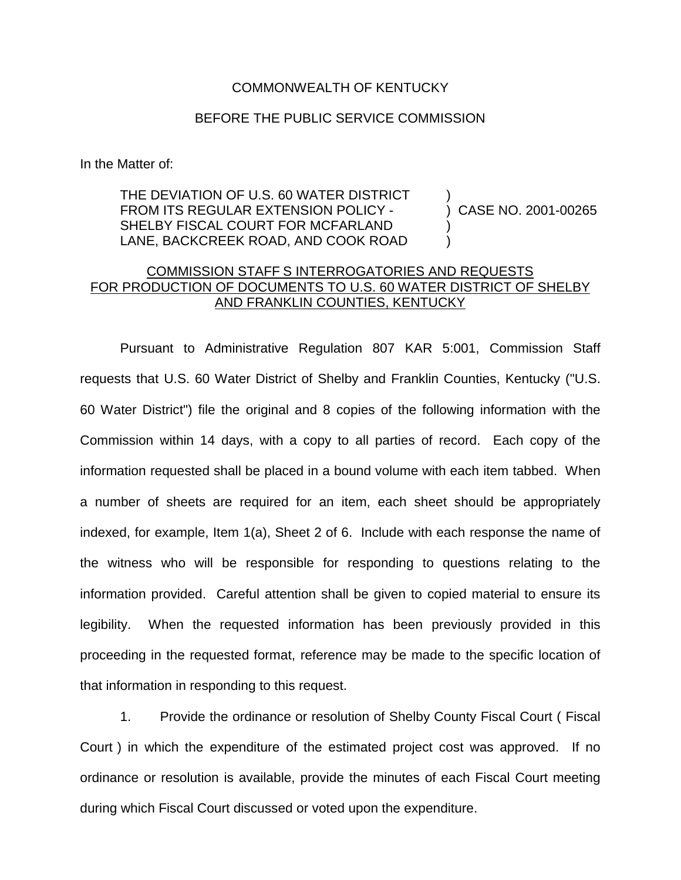## COMMONWEALTH OF KENTUCKY

## BEFORE THE PUBLIC SERVICE COMMISSION

In the Matter of:

## THE DEVIATION OF U.S. 60 WATER DISTRICT FROM ITS REGULAR EXTENSION POLICY - SHELBY FISCAL COURT FOR MCFARLAND LANE, BACKCREEK ROAD, AND COOK ROAD

) CASE NO. 2001-00265

)

) )

## COMMISSION STAFF S INTERROGATORIES AND REQUESTS FOR PRODUCTION OF DOCUMENTS TO U.S. 60 WATER DISTRICT OF SHELBY AND FRANKLIN COUNTIES, KENTUCKY

Pursuant to Administrative Regulation 807 KAR 5:001, Commission Staff requests that U.S. 60 Water District of Shelby and Franklin Counties, Kentucky ("U.S. 60 Water District") file the original and 8 copies of the following information with the Commission within 14 days, with a copy to all parties of record. Each copy of the information requested shall be placed in a bound volume with each item tabbed. When a number of sheets are required for an item, each sheet should be appropriately indexed, for example, Item 1(a), Sheet 2 of 6. Include with each response the name of the witness who will be responsible for responding to questions relating to the information provided. Careful attention shall be given to copied material to ensure its legibility. When the requested information has been previously provided in this proceeding in the requested format, reference may be made to the specific location of that information in responding to this request.

1. Provide the ordinance or resolution of Shelby County Fiscal Court ( Fiscal Court ) in which the expenditure of the estimated project cost was approved. If no ordinance or resolution is available, provide the minutes of each Fiscal Court meeting during which Fiscal Court discussed or voted upon the expenditure.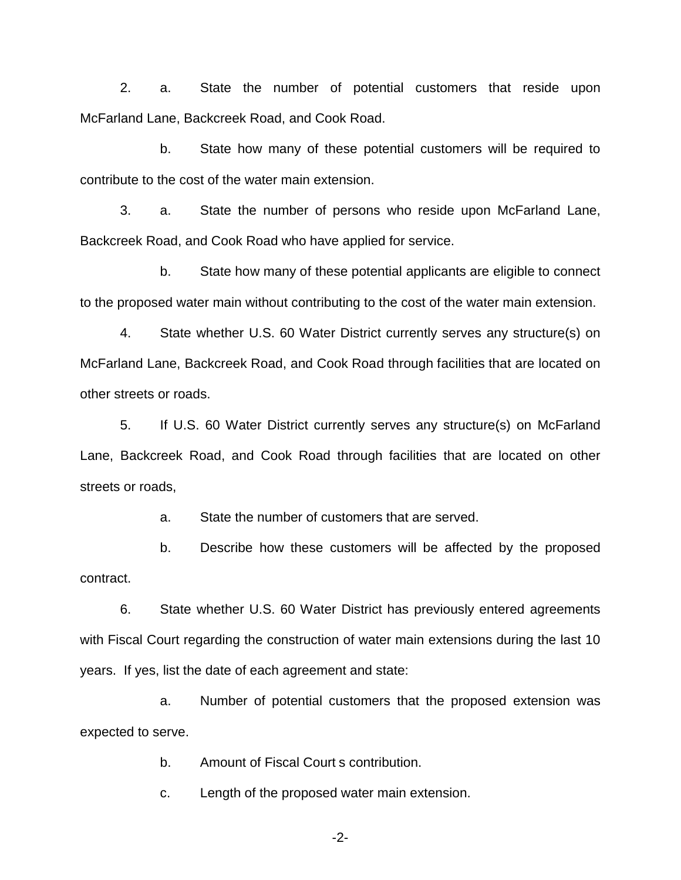2. a. State the number of potential customers that reside upon McFarland Lane, Backcreek Road, and Cook Road.

b. State how many of these potential customers will be required to contribute to the cost of the water main extension.

3. a. State the number of persons who reside upon McFarland Lane, Backcreek Road, and Cook Road who have applied for service.

b. State how many of these potential applicants are eligible to connect to the proposed water main without contributing to the cost of the water main extension.

4. State whether U.S. 60 Water District currently serves any structure(s) on McFarland Lane, Backcreek Road, and Cook Road through facilities that are located on other streets or roads.

5. If U.S. 60 Water District currently serves any structure(s) on McFarland Lane, Backcreek Road, and Cook Road through facilities that are located on other streets or roads,

a. State the number of customers that are served.

b. Describe how these customers will be affected by the proposed contract.

6. State whether U.S. 60 Water District has previously entered agreements with Fiscal Court regarding the construction of water main extensions during the last 10 years. If yes, list the date of each agreement and state:

a. Number of potential customers that the proposed extension was expected to serve.

b. Amount of Fiscal Court s contribution.

c. Length of the proposed water main extension.

-2-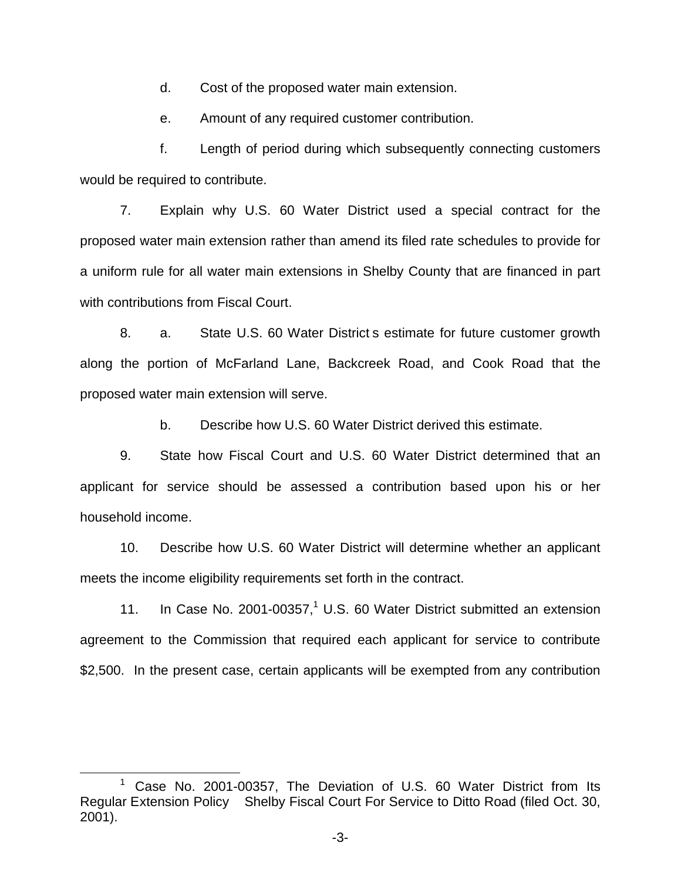d. Cost of the proposed water main extension.

e. Amount of any required customer contribution.

f. Length of period during which subsequently connecting customers would be required to contribute.

7. Explain why U.S. 60 Water District used a special contract for the proposed water main extension rather than amend its filed rate schedules to provide for a uniform rule for all water main extensions in Shelby County that are financed in part with contributions from Fiscal Court.

8. a. State U.S. 60 Water District s estimate for future customer growth along the portion of McFarland Lane, Backcreek Road, and Cook Road that the proposed water main extension will serve.

b. Describe how U.S. 60 Water District derived this estimate.

9. State how Fiscal Court and U.S. 60 Water District determined that an applicant for service should be assessed a contribution based upon his or her household income.

10. Describe how U.S. 60 Water District will determine whether an applicant meets the income eligibility requirements set forth in the contract.

11. In Case No. 2001-00357, $1$  U.S. 60 Water District submitted an extension agreement to the Commission that required each applicant for service to contribute \$2,500. In the present case, certain applicants will be exempted from any contribution

<sup>&</sup>lt;sup>1</sup> Case No. 2001-00357, The Deviation of U.S. 60 Water District from Its Regular Extension Policy Shelby Fiscal Court For Service to Ditto Road (filed Oct. 30, 2001).